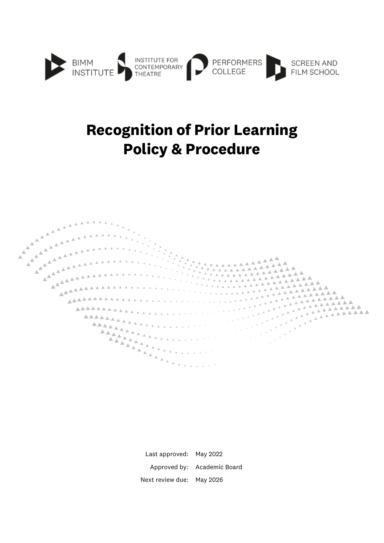

# **Recognition of Prior Learning Policy & Procedure**



Last approved: May 2022 Approved by: Academic Board Next review due: May 2026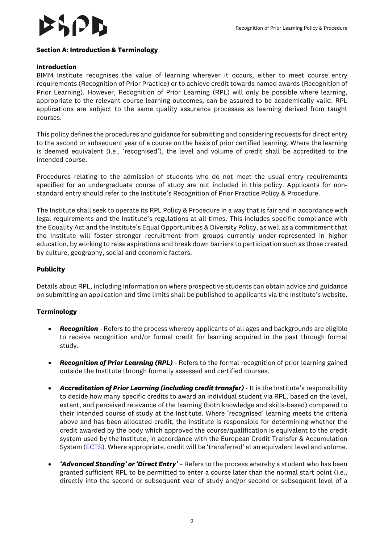

#### **Section A: Introduction & Terminology**

#### **Introduction**

BIMM Institute recognises the value of learning wherever it occurs, either to meet course entry requirements (Recognition of Prior Practice) or to achieve credit towards named awards (Recognition of Prior Learning). However, Recognition of Prior Learning (RPL) will only be possible where learning, appropriate to the relevant course learning outcomes, can be assured to be academically valid. RPL applications are subject to the same quality assurance processes as learning derived from taught courses.

This policy defines the procedures and guidance for submitting and considering requests for direct entry to the second or subsequent year of a course on the basis of prior certified learning. Where the learning is deemed equivalent (i.e., 'recognised'), the level and volume of credit shall be accredited to the intended course.

Procedures relating to the admission of students who do not meet the usual entry requirements specified for an undergraduate course of study are not included in this policy. Applicants for nonstandard entry should refer to the Institute's Recognition of Prior Practice Policy & Procedure.

The Institute shall seek to operate its RPL Policy & Procedure in a way that is fair and in accordance with legal requirements and the Institute's regulations at all times. This includes specific compliance with the Equality Act and the Institute's Equal Opportunities & Diversity Policy, as well as a commitment that the Institute will foster stronger recruitment from groups currently under-represented in higher education, by working to raise aspirations and break down barriers to participation such as those created by culture, geography, social and economic factors.

#### **Publicity**

Details about RPL, including information on where prospective students can obtain advice and guidance on submitting an application and time limits shall be published to applicants via the Institute's website.

#### **Terminology**

- *Recognition -* Refers to the process whereby applicants of all ages and backgrounds are eligible to receive recognition and/or formal credit for learning acquired in the past through formal study.
- *Recognition of Prior Learning (RPL) -* Refers to the formal recognition of prior learning gained outside the Institute through formally assessed and certified courses.
- **Accreditation of Prior Learning (including credit transfer)** It is the Institute's responsibility to decide how many specific credits to award an individual student via RPL, based on the level, extent, and perceived relevance of the learning (both knowledge and skills-based) compared to their intended course of study at the Institute. Where 'recognised' learning meets the criteria above and has been allocated credit, the Institute is responsible for determining whether the credit awarded by the body which approved the course/qualification is equivalent to the credit system used by the Institute, in accordance with the European Credit Transfer & Accumulation System [\(ECTS\)](https://ec.europa.eu/education/resources-and-tools/european-credit-transfer-and-accumulation-system-ects_en). Where appropriate, credit will be 'transferred' at an equivalent level and volume.
- *'Advanced Standing' or 'Direct Entry'* Refers to the process whereby a student who has been granted sufficient RPL to be permitted to enter a course later than the normal start point (i.e., directly into the second or subsequent year of study and/or second or subsequent level of a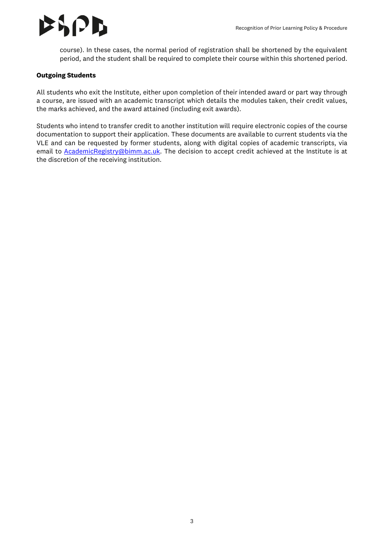

course). In these cases, the normal period of registration shall be shortened by the equivalent period, and the student shall be required to complete their course within this shortened period.

### **Outgoing Students**

All students who exit the Institute, either upon completion of their intended award or part way through a course, are issued with an academic transcript which details the modules taken, their credit values, the marks achieved, and the award attained (including exit awards).

Students who intend to transfer credit to another institution will require electronic copies of the course documentation to support their application. These documents are available to current students via the VLE and can be requested by former students, along with digital copies of academic transcripts, via email to **AcademicRegistry@bimm.ac.uk**. The decision to accept credit achieved at the Institute is at the discretion of the receiving institution.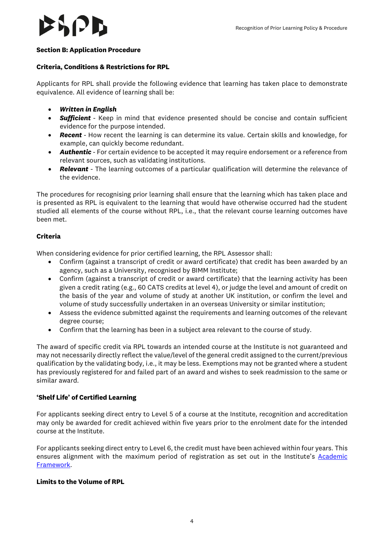# $|J|$

# **Section B: Application Procedure**

# **Criteria, Conditions & Restrictions for RPL**

Applicants for RPL shall provide the following evidence that learning has taken place to demonstrate equivalence. All evidence of learning shall be:

- *Written in English*
- *Sufficient -* Keep in mind that evidence presented should be concise and contain sufficient evidence for the purpose intended.
- *Recent -* How recent the learning is can determine its value. Certain skills and knowledge, for example, can quickly become redundant.
- *Authentic -* For certain evidence to be accepted it may require endorsement or a reference from relevant sources, such as validating institutions.
- *Relevant -* The learning outcomes of a particular qualification will determine the relevance of the evidence.

The procedures for recognising prior learning shall ensure that the learning which has taken place and is presented as RPL is equivalent to the learning that would have otherwise occurred had the student studied all elements of the course without RPL, i.e., that the relevant course learning outcomes have been met.

# **Criteria**

When considering evidence for prior certified learning, the RPL Assessor shall:

- Confirm (against a transcript of credit or award certificate) that credit has been awarded by an agency, such as a University, recognised by BIMM Institute;
- Confirm (against a transcript of credit or award certificate) that the learning activity has been given a credit rating (e.g., 60 CATS credits at level 4), or judge the level and amount of credit on the basis of the year and volume of study at another UK institution, or confirm the level and volume of study successfully undertaken in an overseas University or similar institution;
- Assess the evidence submitted against the requirements and learning outcomes of the relevant degree course;
- Confirm that the learning has been in a subject area relevant to the course of study.

The award of specific credit via RPL towards an intended course at the Institute is not guaranteed and may not necessarily directly reflect the value/level of the general credit assigned to the current/previous qualification by the validating body, i.e., it may be less. Exemptions may not be granted where a student has previously registered for and failed part of an award and wishes to seek readmission to the same or similar award.

# **'Shelf Life' of Certified Learning**

For applicants seeking direct entry to Level 5 of a course at the Institute, recognition and accreditation may only be awarded for credit achieved within five years prior to the enrolment date for the intended course at the Institute.

For applicants seeking direct entry to Level 6, the credit must have been achieved within four years. This ensures alignment with the maximum period of registration as set out in the Institute's Academic [Framework.](https://www.bimm.ac.uk/academic-framework)

# **Limits to the Volume of RPL**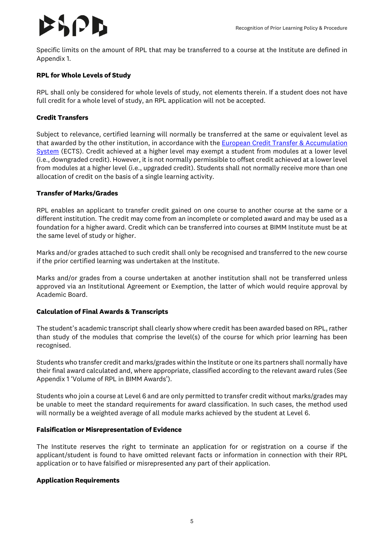# IЛ

Specific limits on the amount of RPL that may be transferred to a course at the Institute are defined in Appendix 1.

### **RPL for Whole Levels of Study**

RPL shall only be considered for whole levels of study, not elements therein. If a student does not have full credit for a whole level of study, an RPL application will not be accepted.

#### **Credit Transfers**

Subject to relevance, certified learning will normally be transferred at the same or equivalent level as that awarded by the other institution, in accordance with th[e European Credit Transfer & Accumulation](https://ec.europa.eu/education/resources-and-tools/european-credit-transfer-and-accumulation-system-ects_en)  [System](https://ec.europa.eu/education/resources-and-tools/european-credit-transfer-and-accumulation-system-ects_en) (ECTS). Credit achieved at a higher level may exempt a student from modules at a lower level (i.e., downgraded credit). However, it is not normally permissible to offset credit achieved at a lower level from modules at a higher level (i.e., upgraded credit). Students shall not normally receive more than one allocation of credit on the basis of a single learning activity.

#### **Transfer of Marks/Grades**

RPL enables an applicant to transfer credit gained on one course to another course at the same or a different institution. The credit may come from an incomplete or completed award and may be used as a foundation for a higher award. Credit which can be transferred into courses at BIMM Institute must be at the same level of study or higher.

Marks and/or grades attached to such credit shall only be recognised and transferred to the new course if the prior certified learning was undertaken at the Institute.

Marks and/or grades from a course undertaken at another institution shall not be transferred unless approved via an Institutional Agreement or Exemption, the latter of which would require approval by Academic Board.

#### **Calculation of Final Awards & Transcripts**

The student's academic transcript shall clearly show where credit has been awarded based on RPL, rather than study of the modules that comprise the level(s) of the course for which prior learning has been recognised.

Students who transfer credit and marks/grades within the Institute or one its partners shall normally have their final award calculated and, where appropriate, classified according to the relevant award rules (See Appendix 1 'Volume of RPL in BIMM Awards').

Students who join a course at Level 6 and are only permitted to transfer credit without marks/grades may be unable to meet the standard requirements for award classification. In such cases, the method used will normally be a weighted average of all module marks achieved by the student at Level 6.

#### **Falsification or Misrepresentation of Evidence**

The Institute reserves the right to terminate an application for or registration on a course if the applicant/student is found to have omitted relevant facts or information in connection with their RPL application or to have falsified or misrepresented any part of their application.

#### **Application Requirements**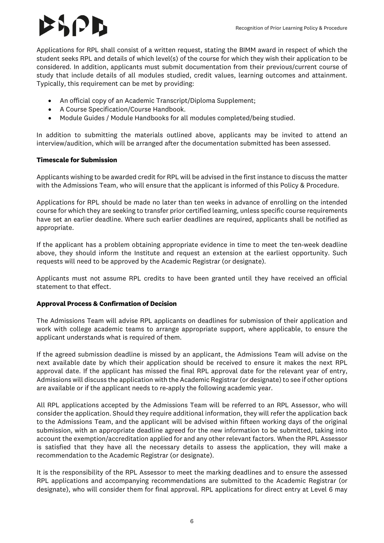# $\mathcal{E} \setminus \{ \mathcal{F} \}$

Applications for RPL shall consist of a written request, stating the BIMM award in respect of which the student seeks RPL and details of which level(s) of the course for which they wish their application to be considered. In addition, applicants must submit documentation from their previous/current course of study that include details of all modules studied, credit values, learning outcomes and attainment. Typically, this requirement can be met by providing:

- An official copy of an Academic Transcript/Diploma Supplement;
- A Course Specification/Course Handbook.
- Module Guides / Module Handbooks for all modules completed/being studied.

In addition to submitting the materials outlined above, applicants may be invited to attend an interview/audition, which will be arranged after the documentation submitted has been assessed.

# **Timescale for Submission**

Applicants wishing to be awarded credit for RPL will be advised in the first instance to discuss the matter with the Admissions Team, who will ensure that the applicant is informed of this Policy & Procedure.

Applications for RPL should be made no later than ten weeks in advance of enrolling on the intended course for which they are seeking to transfer prior certified learning, unless specific course requirements have set an earlier deadline. Where such earlier deadlines are required, applicants shall be notified as appropriate.

If the applicant has a problem obtaining appropriate evidence in time to meet the ten-week deadline above, they should inform the Institute and request an extension at the earliest opportunity. Such requests will need to be approved by the Academic Registrar (or designate).

Applicants must not assume RPL credits to have been granted until they have received an official statement to that effect.

# **Approval Process & Confirmation of Decision**

The Admissions Team will advise RPL applicants on deadlines for submission of their application and work with college academic teams to arrange appropriate support, where applicable, to ensure the applicant understands what is required of them.

If the agreed submission deadline is missed by an applicant, the Admissions Team will advise on the next available date by which their application should be received to ensure it makes the next RPL approval date. If the applicant has missed the final RPL approval date for the relevant year of entry, Admissions will discuss the application with the Academic Registrar (or designate) to see if other options are available or if the applicant needs to re-apply the following academic year.

All RPL applications accepted by the Admissions Team will be referred to an RPL Assessor, who will consider the application. Should they require additional information, they will refer the application back to the Admissions Team, and the applicant will be advised within fifteen working days of the original submission, with an appropriate deadline agreed for the new information to be submitted, taking into account the exemption/accreditation applied for and any other relevant factors. When the RPL Assessor is satisfied that they have all the necessary details to assess the application, they will make a recommendation to the Academic Registrar (or designate).

It is the responsibility of the RPL Assessor to meet the marking deadlines and to ensure the assessed RPL applications and accompanying recommendations are submitted to the Academic Registrar (or designate), who will consider them for final approval. RPL applications for direct entry at Level 6 may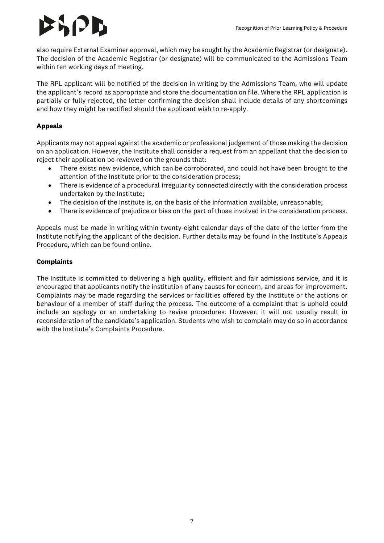# 8 12 B

also require External Examiner approval, which may be sought by the Academic Registrar (or designate). The decision of the Academic Registrar (or designate) will be communicated to the Admissions Team within ten working days of meeting.

The RPL applicant will be notified of the decision in writing by the Admissions Team, who will update the applicant's record as appropriate and store the documentation on file. Where the RPL application is partially or fully rejected, the letter confirming the decision shall include details of any shortcomings and how they might be rectified should the applicant wish to re-apply.

# **Appeals**

Applicants may not appeal against the academic or professional judgement of those making the decision on an application. However, the Institute shall consider a request from an appellant that the decision to reject their application be reviewed on the grounds that:

- There exists new evidence, which can be corroborated, and could not have been brought to the attention of the Institute prior to the consideration process;
- There is evidence of a procedural irregularity connected directly with the consideration process undertaken by the Institute;
- The decision of the Institute is, on the basis of the information available, unreasonable;
- There is evidence of prejudice or bias on the part of those involved in the consideration process.

Appeals must be made in writing within twenty-eight calendar days of the date of the letter from the Institute notifying the applicant of the decision. Further details may be found in the Institute's Appeals Procedure, which can be found online.

# **Complaints**

The Institute is committed to delivering a high quality, efficient and fair admissions service, and it is encouraged that applicants notify the institution of any causes for concern, and areas for improvement. Complaints may be made regarding the services or facilities offered by the Institute or the actions or behaviour of a member of staff during the process. The outcome of a complaint that is upheld could include an apology or an undertaking to revise procedures. However, it will not usually result in reconsideration of the candidate's application. Students who wish to complain may do so in accordance with the Institute's Complaints Procedure.